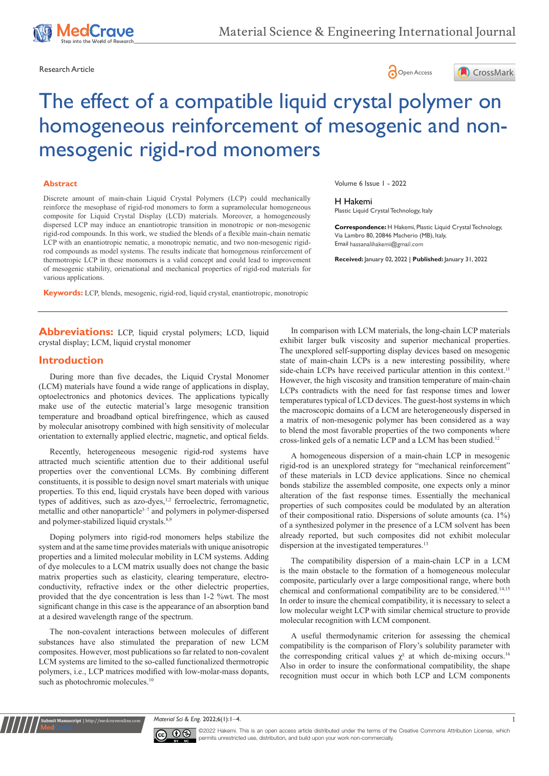





# The effect of a compatible liquid crystal polymer on homogeneous reinforcement of mesogenic and nonmesogenic rigid-rod monomers

#### **Abstract**

Discrete amount of main-chain Liquid Crystal Polymers (LCP) could mechanically reinforce the mesophase of rigid-rod monomers to form a supramolecular homogeneous composite for Liquid Crystal Display (LCD) materials. Moreover, a homogeneously dispersed LCP may induce an enantiotropic transition in monotropic or non-mesogenic rigid-rod compounds. In this work, we studied the blends of a flexible main-chain nematic LCP with an enantiotropic nematic, a monotropic nematic, and two non-mesogenic rigidrod compounds as model systems. The results indicate that homogenous reinforcement of thermotropic LCP in these monomers is a valid concept and could lead to improvement of mesogenic stability, orienational and mechanical properties of rigid-rod materials for various applications.

**Keywords:** LCP, blends, mesogenic, rigid-rod, liquid crystal, enantiotropic, monotropic

Volume 6 Issue 1 - 2022

#### H Hakemi

Plastic Liquid Crystal Technology, Italy

**Correspondence:** H Hakemi, Plastic Liquid Crystal Technology, Via Lambro 80, 20846 Macherio (MB), Italy, Email hassanalihakemi@gmail.com

**Received:** January 02, 2022 | **Published:** January 31, 2022

**Abbreviations:** LCP, liquid crystal polymers; LCD, liquid crystal display; LCM, liquid crystal monomer

#### **Introduction**

During more than five decades, the Liquid Crystal Monomer (LCM) materials have found a wide range of applications in display, optoelectronics and photonics devices. The applications typically make use of the eutectic material's large mesogenic transition temperature and broadband optical birefringence, which as caused by molecular anisotropy combined with high sensitivity of molecular orientation to externally applied electric, magnetic, and optical fields.

Recently, heterogeneous mesogenic rigid-rod systems have attracted much scientific attention due to their additional useful properties over the conventional LCMs. By combining different constituents, it is possible to design novel smart materials with unique properties. To this end, liquid crystals have been doped with various types of additives, such as azo-dyes,<sup>1,2</sup> ferroelectric, ferromagnetic, metallic and other nanoparticle<sup> $3-7$ </sup> and polymers in polymer-dispersed and polymer-stabilized liquid crystals.<sup>8,9</sup>

Doping polymers into rigid-rod monomers helps stabilize the system and at the same time provides materials with unique anisotropic properties and a limited molecular mobility in LCM systems. Adding of dye molecules to a LCM matrix usually does not change the basic matrix properties such as elasticity, clearing temperature, electroconductivity, refractive index or the other dielectric properties, provided that the dye concentration is less than 1-2 %wt. The most significant change in this case is the appearance of an absorption band at a desired wavelength range of the spectrum.

The non-covalent interactions between molecules of different substances have also stimulated the preparation of new LCM composites. However, most publications so far related to non-covalent LCM systems are limited to the so-called functionalized thermotropic polymers, i.e., LCP matrices modified with low-molar-mass dopants, such as photochromic molecules.<sup>10</sup>

**it Manuscript** | http://medcraveonline.

In comparison with LCM materials, the long-chain LCP materials exhibit larger bulk viscosity and superior mechanical properties. The unexplored self-supporting display devices based on mesogenic state of main-chain LCPs is a new interesting possibility, where side-chain LCPs have received particular attention in this context.<sup>11</sup> However, the high viscosity and transition temperature of main-chain LCPs contradicts with the need for fast response times and lower temperatures typical of LCD devices. The guest-host systems in which the macroscopic domains of a LCM are heterogeneously dispersed in a matrix of non-mesogenic polymer has been considered as a way to blend the most favorable properties of the two components where cross-linked gels of a nematic LCP and a LCM has been studied.<sup>12</sup>

A homogeneous dispersion of a main-chain LCP in mesogenic rigid-rod is an unexplored strategy for "mechanical reinforcement" of these materials in LCD device applications. Since no chemical bonds stabilize the assembled composite, one expects only a minor alteration of the fast response times. Essentially the mechanical properties of such composites could be modulated by an alteration of their compositional ratio. Dispersions of solute amounts (ca. 1%) of a synthesized polymer in the presence of a LCM solvent has been already reported, but such composites did not exhibit molecular dispersion at the investigated temperatures.<sup>13</sup>

The compatibility dispersion of a main-chain LCP in a LCM is the main obstacle to the formation of a homogeneous molecular composite, particularly over a large compositional range, where both chemical and conformational compatibility are to be considered.14,15 In order to insure the chemical compatibility, it is necessary to select a low molecular weight LCP with similar chemical structure to provide molecular recognition with LCM component.

A useful thermodynamic criterion for assessing the chemical compatibility is the comparison of Flory's solubility parameter with the corresponding critical values  $\chi^{\chi}$  at which de-mixing occurs.<sup>16</sup> Also in order to insure the conformational compatibility, the shape recognition must occur in which both LCP and LCM components

*Material Sci & Eng.* 2022;6(1):1—4. 1



©2022 Hakemi. This is an open access article distributed under the terms of the [Creative Commons Attribution License](https://creativecommons.org/licenses/by-nc/4.0/), which permits unrestricted use, distribution, and build upon your work non-commercially.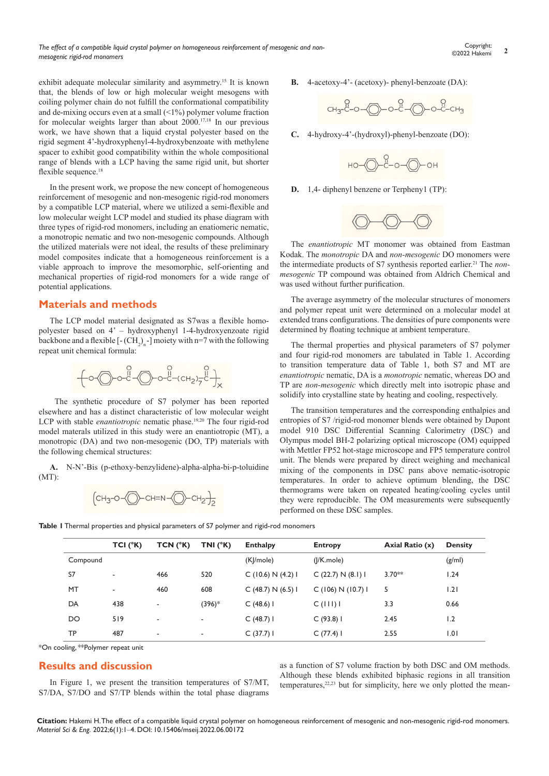exhibit adequate molecular similarity and asymmetry.<sup>15</sup> It is known that, the blends of low or high molecular weight mesogens with coiling polymer chain do not fulfill the conformational compatibility and de-mixing occurs even at a small  $(\leq 1\%)$  polymer volume fraction for molecular weights larger than about 2000.17,18 In our previous work, we have shown that a liquid crystal polyester based on the rigid segment 4'-hydroxyphenyl-4-hydroxybenzoate with methylene spacer to exhibit good compatibility within the whole compositional range of blends with a LCP having the same rigid unit, but shorter flexible sequence.<sup>18</sup>

In the present work, we propose the new concept of homogeneous reinforcement of mesogenic and non-mesogenic rigid-rod monomers by a compatible LCP material, where we utilized a semi-flexible and low molecular weight LCP model and studied its phase diagram with three types of rigid-rod monomers, including an enatiomeric nematic, a monotropic nematic and two non-mesogenic compounds. Although the utilized materials were not ideal, the results of these preliminary model composites indicate that a homogeneous reinforcement is a viable approach to improve the mesomorphic, self-orienting and mechanical properties of rigid-rod monomers for a wide range of potential applications.

#### **Materials and methods**

The LCP model material designated as S7was a flexible homopolyester based on 4' – hydroxyphenyl 1-4-hydroxyenzoate rigid backbone and a flexible  $[-(CH_2)_n]$  moiety with n=7 with the following repeat unit chemical formula:

$$
+ 0 - 0 - 0 - 0 - 0 - 0 - 0 + 0 = 0
$$

 The synthetic procedure of S7 polymer has been reported elsewhere and has a distinct characteristic of low molecular weight LCP with stable *enantiotropic* nematic phase.<sup>19,20</sup> The four rigid-rod model materals utilized in this study were an enantiotropic (MT), a monotropic (DA) and two non-mesogenic (DO, TP) materials with the following chemical structures:

**A.** N-N'-Bis (p-ethoxy-benzylidene)-alpha-alpha-bi-p-toluidine (MT):

$$
(CH_3-O\text{-}O\text{-}CH=N\text{-}O\text{-}CH_2\text{-}I_2
$$

**B.** 4-acetoxy-4'- (acetoxy)- phenyl-benzoate (DA):

$$
CH_3-C-O
$$
  $O-C-C$   $O-C-C$   $CH_3$ 

**C.** 4-hydroxy-4'-(hydroxyl)-phenyl-benzoate (DO):



**D.** 1,4- diphenyl benzene or Terpheny1 (TP):



The *enantiotropic* MT monomer was obtained from Eastman Kodak. The *monotropic* DA and *non-mesogenic* DO monomers were the intermediate products of S7 synthesis reported earlier.<sup>21</sup> The *nonmesogenic* TP compound was obtained from Aldrich Chemical and was used without further purification.

The average asymmetry of the molecular structures of monomers and polymer repeat unit were determined on a molecular model at extended trans configurations. The densities of pure components were determined by floating technique at ambient temperature.

The thermal properties and physical parameters of S7 polymer and four rigid-rod monomers are tabulated in Table 1. According to transition temperature data of Table 1, both S7 and MT are *enantiotropic* nematic, DA is a *monotropic* nematic, whereas DO and TP are *non-mesogenic* which directly melt into isotropic phase and solidify into crystalline state by heating and cooling, respectively.

The transition temperatures and the corresponding enthalpies and entropies of S7 /rigid-rod monomer blends were obtained by Dupont model 910 DSC Differential Scanning Calorimetry (DSC) and Olympus model BH-2 polarizing optical microscope (OM) equipped with Mettler FP52 hot-stage microscope and FP5 temperature control unit. The blends were prepared by direct weighing and mechanical mixing of the components in DSC pans above nematic-isotropic temperatures. In order to achieve optimum blending, the DSC thermograms were taken on repeated heating/cooling cycles until they were reproducible. The OM measurements were subsequently performed on these DSC samples.

**Table 1** Thermal properties and physical parameters of S7 polymer and rigid-rod monomers

|          | $TCI(^{\circ}K)$ | TCN (°K) | TNI $(^{\circ}K)$        | <b>Enthalpy</b>    | <b>Entropy</b>   | Axial Ratio (x) | <b>Density</b> |
|----------|------------------|----------|--------------------------|--------------------|------------------|-----------------|----------------|
| Compound |                  |          |                          | (K /mole)          | $( K \mod e)$    |                 | (g/ml)         |
| S7       | ٠                | 466      | 520                      | C(10.6) N(4.2) I   | C(22.7) N(8.1) I | $3.70**$        | 1.24           |
| MT       | ٠                | 460      | 608                      | C (48.7) N (6.5) I | C(106) N(10.7) I | 5               | 1.21           |
| DA       | 438              | ۰        | (396)*                   | $C(48.6)$ I        | C(111)1          | 3.3             | 0.66           |
| DO       | 519              | ٠        | $\overline{\phantom{a}}$ | $C(48.7)$ I        | C(93.8)1         | 2.45            | 1.2            |
| TP       | 487              | ٠        | $\overline{\phantom{a}}$ | C(37.7)1           | C(77.4)1         | 2.55            | 1.01           |

\*On cooling, \*\*Polymer repeat unit

# **Results and discussion**

In Figure 1, we present the transition temperatures of S7/MT, S7/DA, S7/DO and S7/TP blends within the total phase diagrams

as a function of S7 volume fraction by both DSC and OM methods. Although these blends exhibited biphasic regions in all transition temperatures,<sup>22,23</sup> but for simplicity, here we only plotted the mean-

**Citation:** Hakemi H. The effect of a compatible liquid crystal polymer on homogeneous reinforcement of mesogenic and non-mesogenic rigid-rod monomers. *Material Sci & Eng.* 2022;6(1):1‒4. DOI: [10.15406/mseij.2022.06.00172](https://doi.org/10.15406/mseij.2022.06.00172)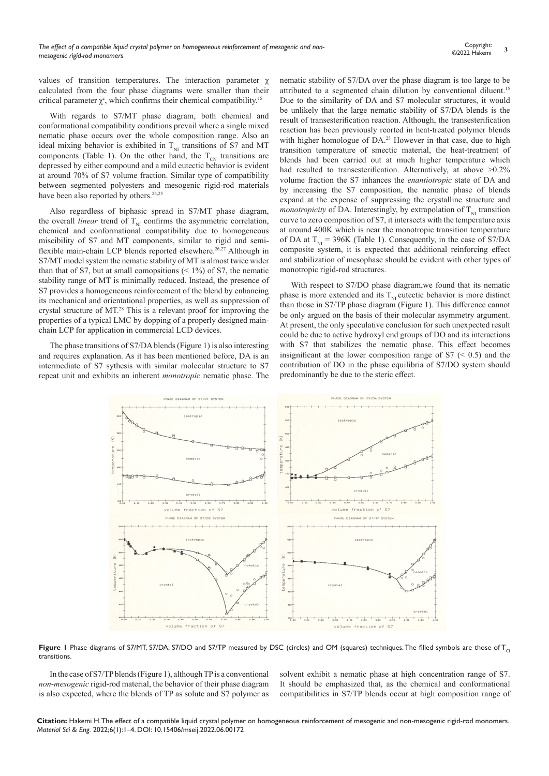values of transition temperatures. The interaction parameter χ calculated from the four phase diagrams were smaller than their critical parameter  $\chi^c$ , which confirms their chemical compatibility.<sup>15</sup>

With regards to S7/MT phase diagram, both chemical and conformational compatibility conditions prevail where a single mixed nematic phase occurs over the whole composition range. Also an ideal mixing behavior is exhibited in  $T_{\text{NI}}$  transitions of S7 and MT components (Table 1). On the other hand, the  $T_{CN}$  transitions are depressed by either compound and a mild eutectic behavior is evident at around 70% of S7 volume fraction. Similar type of compatibility between segmented polyesters and mesogenic rigid-rod materials have been also reported by others.<sup>24,25</sup>

Also regardless of biphasic spread in S7/MT phase diagram, the overall *linear* trend of  $T_{\text{NI}}$  confirms the asymmetric correlation, chemical and conformational compatibility due to homogeneous miscibility of S7 and MT components, similar to rigid and semiflexible main-chain LCP blends reported elsewhere.<sup>26,27</sup> Although in S7/MT model system the nematic stability of MT is almost twice wider than that of S7, but at small comopsitions  $($  < 1%) of S7, the nematic stability range of MT is minimally reduced. Instead, the presence of S7 provides a homogeneous reinforcement of the blend by enhancing its mechanical and orientational properties, as well as suppression of crystal structure of MT.<sup>28</sup> This is a relevant proof for improving the properties of a typical LMC by dopping of a properly designed mainchain LCP for application in commercial LCD devices.

The phase transitions of S7/DA blends (Figure 1) is also interesting and requires explanation. As it has been mentioned before, DA is an intermediate of S7 sythesis with similar molecular structure to S7 repeat unit and exhibits an inherent *monotropic* nematic phase. The nematic stability of S7/DA over the phase diagram is too large to be attributed to a segmented chain dilution by conventional diluent.<sup>15</sup> Due to the similarity of DA and S7 molecular structures, it would be unlikely that the large nematic stability of S7/DA blends is the result of transesterification reaction. Although, the transesterification reaction has been previously reorted in heat-treated polymer blends with higher homologue of DA.<sup>25</sup> However in that case, due to high transition temperature of smectic material, the heat-treatment of blends had been carried out at much higher temperature which had resulted to transesterification. Alternatively, at above >0.2% volume fraction the S7 inhances the *enantiotropic* state of DA and by increasing the S7 composition, the nematic phase of blends expand at the expense of suppressing the crystalline structure and *monotropicity* of DA. Interestingly, by extrapolation of  $T_{NI}$  transition curve to zero composition of S7, it intersects with the temperature axis at around 400K which is near the monotropic transition temperature of DA at  $T_{\text{N1}}$  = 396K (Table 1). Consequently, in the case of S7/DA composite system, it is expected that additional reinforcing effect and stabilization of mesophase should be evident with other types of monotropic rigid-rod structures.

With respect to S7/DO phase diagram,we found that its nematic phase is more extended and its  $T_{NI}$  eutectic behavior is more distinct than those in S7/TP phase diagram (Figure 1). This difference cannot be only argued on the basis of their molecular asymmetry argument. At present, the only speculative conclusion for such unexpected result could be due to active hydroxyl end groups of DO and its interactions with S7 that stabilizes the nematic phase. This effect becomes insignificant at the lower composition range of  $S7$  ( $\leq 0.5$ ) and the contribution of DO in the phase equilibria of S7/DO system should predominantly be due to the steric effect.



**Figure 1** Phase diagrams of S7/MT, S7/DA, S7/DO and S7/TP measured by DSC (circles) and OM (squares) techniques. The filled symbols are those of T<sub>C</sub> transitions.

In the case of S7/TP blends (Figure 1), although TP is a conventional *non-mesogenic* rigid-rod material, the behavior of their phase diagram is also expected, where the blends of TP as solute and S7 polymer as

solvent exhibit a nematic phase at high concentration range of S7. It should be emphasized that, as the chemical and conformational compatibilities in S7/TP blends occur at high composition range of

**Citation:** Hakemi H. The effect of a compatible liquid crystal polymer on homogeneous reinforcement of mesogenic and non-mesogenic rigid-rod monomers. *Material Sci & Eng.* 2022;6(1):1‒4. DOI: [10.15406/mseij.2022.06.00172](https://doi.org/10.15406/mseij.2022.06.00172)